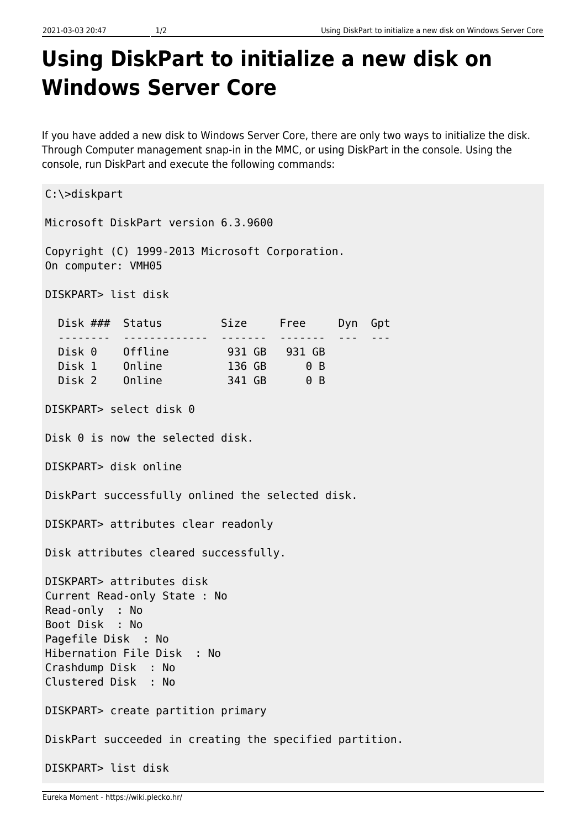## **Using DiskPart to initialize a new disk on Windows Server Core**

If you have added a new disk to Windows Server Core, there are only two ways to initialize the disk. Through Computer management snap-in in the MMC, or using DiskPart in the console. Using the console, run DiskPart and execute the following commands:

C:\>diskpart Microsoft DiskPart version 6.3.9600 Copyright (C) 1999-2013 Microsoft Corporation. On computer: VMH05 DISKPART> list disk Disk ### Status Size Free Dyn Gpt -------- ------------- -------Disk 0 0ffline 931 GB 931 GB Disk 1 Online 136 GB 0 B Disk 2 Online 341 GB 0 B DISKPART> select disk 0 Disk 0 is now the selected disk. DISKPART> disk online DiskPart successfully onlined the selected disk. DISKPART> attributes clear readonly Disk attributes cleared successfully. DISKPART> attributes disk Current Read-only State : No Read-only : No Boot Disk : No Pagefile Disk : No Hibernation File Disk : No Crashdump Disk : No Clustered Disk : No DISKPART> create partition primary DiskPart succeeded in creating the specified partition. DISKPART> list disk